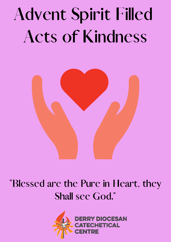

## "Blessed are the Pure in Heart, they<br>Shall see God."<br>DERRY DIOCESAN<br>CATECHETICAL **Shall see God."**

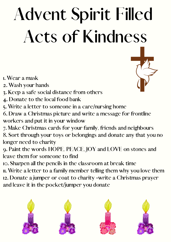- 
- 
- 
- 
- 

I. Wear a mask<br>2. Wash your h:<br>3. Keep a safe s<br>4. Donate to th<br>5. Write a lette<br>6. Draw a Christ<br>workers and pt<br>7. Make Christn<br>8. Sort through<br>longer need to<br>9. Paint the wo<br>leave them for<br>10. Sharpen all t<br>11. Write a l